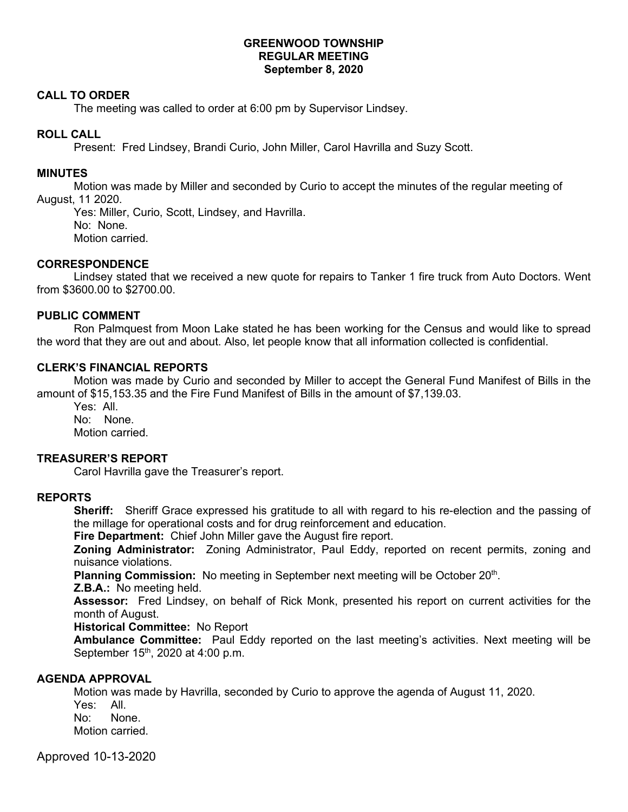## **GREENWOOD TOWNSHIP REGULAR MEETING September 8, 2020**

#### **CALL TO ORDER**

The meeting was called to order at 6:00 pm by Supervisor Lindsey.

## **ROLL CALL**

Present: Fred Lindsey, Brandi Curio, John Miller, Carol Havrilla and Suzy Scott.

## **MINUTES**

Motion was made by Miller and seconded by Curio to accept the minutes of the regular meeting of August, 11 2020.

Yes: Miller, Curio, Scott, Lindsey, and Havrilla. No: None. Motion carried.

#### **CORRESPONDENCE**

 Lindsey stated that we received a new quote for repairs to Tanker 1 fire truck from Auto Doctors. Went from \$3600.00 to \$2700.00.

# **PUBLIC COMMENT**

Ron Palmquest from Moon Lake stated he has been working for the Census and would like to spread the word that they are out and about. Also, let people know that all information collected is confidential.

#### **CLERK'S FINANCIAL REPORTS**

Motion was made by Curio and seconded by Miller to accept the General Fund Manifest of Bills in the amount of \$15,153.35 and the Fire Fund Manifest of Bills in the amount of \$7,139.03.

Yes: All. No: None. Motion carried.

#### **TREASURER'S REPORT**

Carol Havrilla gave the Treasurer's report.

# **REPORTS**

**Sheriff:** Sheriff Grace expressed his gratitude to all with regard to his re-election and the passing of the millage for operational costs and for drug reinforcement and education.

**Fire Department:** Chief John Miller gave the August fire report.

**Zoning Administrator:** Zoning Administrator, Paul Eddy, reported on recent permits, zoning and nuisance violations.

Planning Commission: No meeting in September next meeting will be October 20<sup>th</sup>.

#### **Z.B.A.:** No meeting held.

**Assessor:** Fred Lindsey, on behalf of Rick Monk, presented his report on current activities for the month of August.

#### **Historical Committee:** No Report

**Ambulance Committee:** Paul Eddy reported on the last meeting's activities. Next meeting will be September 15<sup>th</sup>, 2020 at 4:00 p.m.

# **AGENDA APPROVAL**

Motion was made by Havrilla, seconded by Curio to approve the agenda of August 11, 2020. Yes: All. No: None. Motion carried.

Approved 10-13-2020